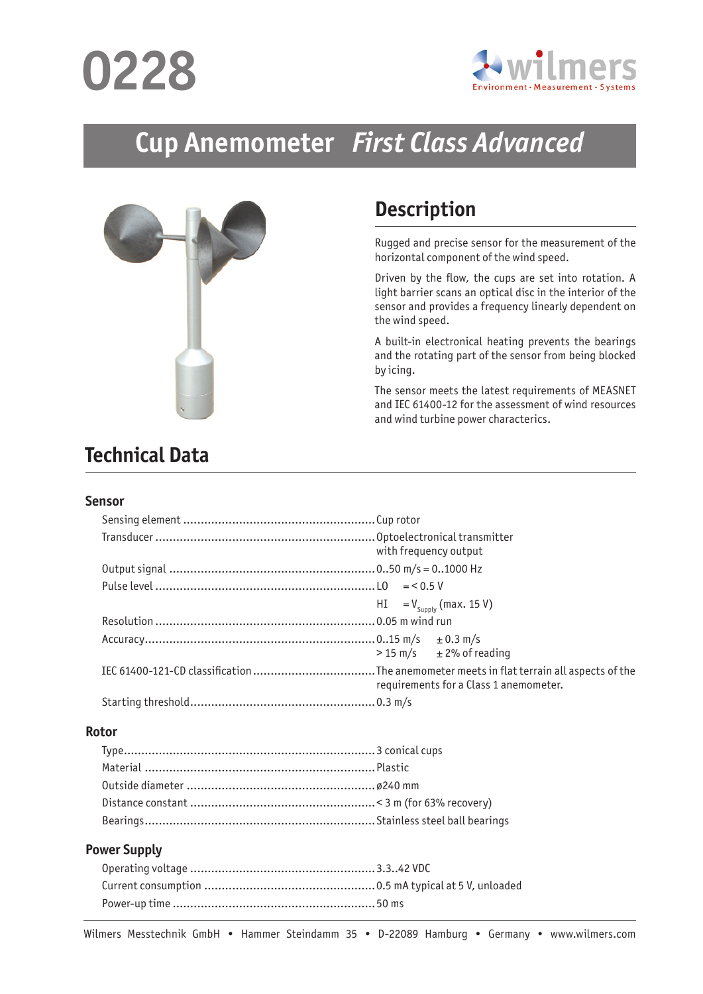# **0228**



## **Cup Anemometer** *First Class Advanced*



## **Description**

Rugged and precise sensor for the measurement of the horizontal component of the wind speed.

Driven by the flow, the cups are set into rotation. A light barrier scans an optical disc in the interior of the sensor and provides a frequency linearly dependent on the wind speed.

A built-in electronical heating prevents the bearings and the rotating part of the sensor from being blocked by icing.

The sensor meets the latest requirements of MEASNET and IEC 61400-12 for the assessment of wind resources and wind turbine power characterics.

## **Technical Data**

#### **Sensor**

| with frequency output                   |
|-----------------------------------------|
|                                         |
|                                         |
| $HI = V_{Supplv}$ (max. 15 V)           |
|                                         |
| $> 15 \text{ m/s}$ $\pm 2\%$ of reading |
| requirements for a Class 1 anemometer.  |
|                                         |

#### **Rotor**

#### **Power Supply**